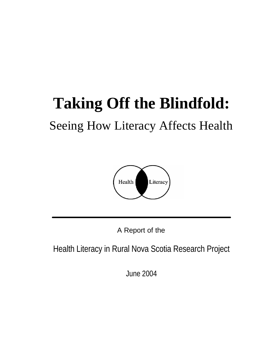# **Taking Off the Blindfold:**

# Seeing How Literacy Affects Health



A Report of the

Health Literacy in Rural Nova Scotia Research Project

June 2004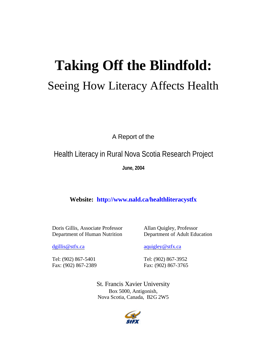# **Taking Off the Blindfold:**

# Seeing How Literacy Affects Health

A Report of the

Health Literacy in Rural Nova Scotia Research Project

**June, 2004**

**Website: <http://www.nald.ca/healthliteracystfx>**

Doris Gillis, Associate Professor Department of Human Nutrition

Allan Quigley, Professor Department of Adult Education

[dgillis@stfx.ca](mailto:dgillis@stfx.ca)

Tel: (902) 867-5401 Fax: (902) 867-2389 [aquigley@stfx.ca](mailto:aquigley@stfx.ca)

Tel: (902) 867-3952 Fax: (902) 867-3765

St. Francis Xavier University Box 5000, Antigonish, Nova Scotia, Canada, B2G 2W5

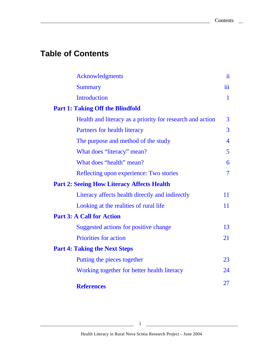# **Table of Contents**

| <b>Acknowledgments</b>                                    | ii             |
|-----------------------------------------------------------|----------------|
| <b>Summary</b>                                            | iii            |
| <b>Introduction</b>                                       | $\mathbf{1}$   |
| <b>Part 1: Taking Off the Blindfold</b>                   |                |
| Health and literacy as a priority for research and action | 3              |
| Partners for health literacy                              | $\overline{3}$ |
| The purpose and method of the study                       | $\overline{4}$ |
| What does "literacy" mean?                                | 5              |
| What does "health" mean?                                  | 6              |
| Reflecting upon experience: Two stories                   | $\overline{7}$ |
| <b>Part 2: Seeing How Literacy Affects Health</b>         |                |
| Literacy affects health directly and indirectly           | 11             |
| Looking at the realities of rural life                    | 11             |
| <b>Part 3: A Call for Action</b>                          |                |
| Suggested actions for positive change                     | 13             |
| <b>Priorities for action</b>                              | 21             |
| <b>Part 4: Taking the Next Steps</b>                      |                |
| Putting the pieces together                               | 23             |
| Working together for better health literacy               | 24             |
| <b>References</b>                                         | 27             |

<u> 1989 - Johann Barbara, martxa a</u>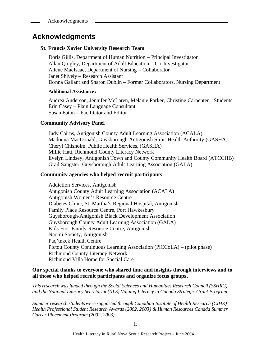# <span id="page-3-0"></span>**Acknowledgments**

#### **St. Francis Xavier University Research Team**

Doris Gillis, Department of Human Nutrition – Principal Investigator Allan Quigley, Department of Adult Education – Co-Investigator Allene MacIsaac, Department of Nursing – Collaborator Janet Shively – Research Assistant Donna Gallant and Sharon Dublin – Former Collaborators, Nursing Department

#### **Additional Assistance :**

Andrea Anderson, Jennifer McLaren, Melanie Parker, Christine Carpenter – Students Erin Casey – Plain Language Consultant Susan Eaton – Facilitator and Editor

#### **Community Advisory Panel**

Judy Cairns, Antigonish County Adult Learning Association (ACALA) Madonna MacDonald, Guysborough Antigonish Strait Health Authority (GASHA) Cheryl Chisholm, Public Health Services, (GASHA) Millie Hatt, Richmond County Literacy Network Evelyn Lindsey, Antigonish Town and County Community Health Board (ATCCHB) Grail Sangster, Guysborough Adult Learning Association (GALA)

#### **Community agencies who helped recruit participants**

Addiction Services, Antigonish Antigonish County Adult Learning Association (ACALA) Antigonish Women's Resource Centre Diabetes Clinic, St. Martha's Regional Hospital, Antigonish Family Place Resource Centre, Port Hawkesbury Guysborough-Antigonish Black Development Association Guysborough County Adult Learning Association (GALA) Kids First Family Resource Centre, Antigonish Naomi Society, Antigonish Paq'tnkek Health Centre Pictou County Continuous Learning Association (PiCCoLA) – (pilot phase) Richmond County Literacy Network Richmond Villa Home for Special Care

#### **Our special thanks to everyone who shared time and insights through interviews and to all those who helped recruit participants and organize focus groups***.*

*This research was funded through the Social Sciences and Humanities Research Council (SSHRC) and the National Literacy Secretariat (NLS) Valuing Literacy in Canada Strategic Grant Program.*

*Summer research students were supported through Canadian Institute of Health Research (CIHR) Health Professional Student Research Awards (2002, 2003) & Human Resources Canada Summer Career Placement Program (2002, 2003).*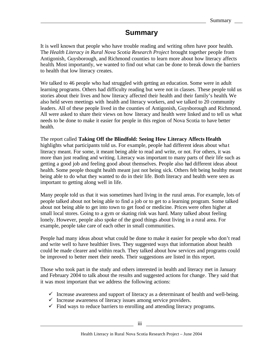# **Summary**

<span id="page-4-0"></span>It is well known that people who have trouble reading and writing often have poor health. The *Health Literacy in Rural Nova Scotia Research Project* brought together people from Antigonish, Guysborough, and Richmond counties to learn more about how literacy affects health. Most importantly, we wanted to find out what can be done to break down the barriers to health that low literacy creates.

We talked to 46 people who had struggled with getting an education. Some were in adult learning programs. Others had difficulty reading but were not in classes. These people told us stories about their lives and how literacy affected their health and their family's health. We also held seven meetings with health and literacy workers, and we talked to 20 community leaders. All of these people lived in the counties of Antigonish, Guysborough and Richmond. All were asked to share their views on how literacy and health were linked and to tell us what needs to be done to make it easier for people in this region of Nova Scotia to have better health.

The report called **Taking Off the Blindfold: Seeing How Literacy Affects Health** highlights what participants told us. For example, people had different ideas about wha t literacy meant. For some, it meant being able to read and write, or not. For others, it was more than just reading and writing. Literacy was important to many parts of their life such as getting a good job and feeling good about themselves. People also had different ideas about health. Some people thought health meant just not being sick. Others felt being healthy meant being able to do what they wanted to do in their life. Both literacy and health were seen as important to getting along well in life.

Many people told us that it was sometimes hard living in the rural areas. For example, lots of people talked about not being able to find a job or to get to a learning program. Some talked about not being able to get into town to get food or medicine. Prices were often higher at small local stores. Going to a gym or skating rink was hard. Many talked about feeling lonely. However, people also spoke of the good things about living in a rural area. For example, people take care of each other in small communities.

People had many ideas about what could be done to make it easier for people who don't read and write well to have healthier lives. They suggested ways that information about health could be made clearer and within reach. They talked about how services and programs could be improved to better meet their needs. Their suggestions are listed in this report.

Those who took part in the study and others interested in health and literacy met in January and February 2004 to talk about the results and suggested actions for change. They said that it was most important that we address the following actions:

- $\checkmark$  Increase awareness and support of literacy as a determinant of health and well-being.
- $\checkmark$  Increase awareness of literacy issues among service providers.
- $\checkmark$  Find ways to reduce barriers to enrolling and attending literacy programs.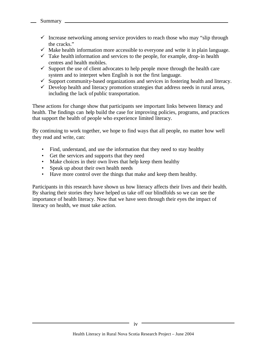- $\checkmark$  Increase networking among service providers to reach those who may "slip through the cracks."
- $\checkmark$  Make health information more accessible to everyone and write it in plain language.
- $\checkmark$  Take health information and services to the people, for example, drop-in health centres and health mobiles.
- $\checkmark$  Support the use of client advocates to help people move through the health care system and to interpret when English is not the first language.
- $\checkmark$  Support community-based organizations and services in fostering health and literacy.
- $\checkmark$  Develop health and literacy promotion strategies that address needs in rural areas, including the lack of public transportation.

These actions for change show that participants see important links between literacy and health. The findings can help build the case for improving policies, programs, and practices that support the health of people who experience limited literacy.

By continuing to work together, we hope to find ways that all people, no matter how well they read and write, can:

- Find, understand, and use the information that they need to stay healthy
- Get the services and supports that they need
- Make choices in their own lives that help keep them healthy
- Speak up about their own health needs
- Have more control over the things that make and keep them healthy.

Participants in this research have shown us how literacy affects their lives and their health. By sharing their stories they have helped us take off our blindfolds so we can see the importance of health literacy. Now that we have seen through their eyes the impact of literacy on health, we must take action.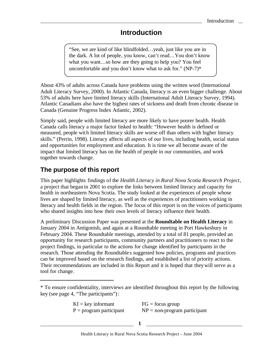# **Introduction**

<span id="page-6-0"></span>"See, we are kind of like blindfolded…yeah, just like you are in the dark. A lot of people, you know, can't read…You don't know what you want…so how are they going to help you? You feel uncomfortable and you don't know what to ask for." (NP-7)\*

About 43% of adults across Canada have problems using the written word (International Adult Literacy Survey, 2000). In Atlantic Canada, literacy is an even bigger challenge. About 53% of adults here have limited literacy skills (International Adult Literacy Survey, 1994). Atlantic Canadians also have the highest rates of sickness and death from chronic disease in Canada (Genuine Progress Index Atlantic, 2002).

Simply said, people with limited literacy are more likely to have poorer health. Health Canada calls literacy a major factor linked to health: "However health is defined or measured, people with limited literacy skills are worse off than others with higher literacy skills." (Perrin, 1998). Literacy affects all aspects of our lives, including health, social status and opportunities for employment and education. It is time we all become aware of the impact that limited literacy has on the health of people in our communities, and work together towards change.

# **The purpose of this report**

This paper highlights findings of the *Health Literacy in Rural Nova Scotia Research Project*, a project that began in 2001 to explore the links between limited literacy and capacity for health in northeastern Nova Scotia. The study looked at the experiences of people whose lives are shaped by limited literacy, as well as the experiences of practitioners working in literacy and health fields in the region. The focus of this report is on the voices of participants who shared insights into how their own levels of literacy influence their health.

A preliminary Discussion Paper was presented at the **Roundtable on Health Literacy** in January 2004 in Antigonish, and again at a Roundtable meeting in Port Hawkesbury in February 2004. These Roundtable meetings, attended by a total of 81 people, provided an opportunity for research participants, community partners and practitioners to react to the project findings, in particular to the actions for change identified by participants in the research. Those attending the Roundtable s suggested how policies, programs and practices can be improved based on the research findings, and established a list of priority actions. Their recommendations are included in this Report and it is hoped that they will serve as a tool for change.

 $KI = key$  informant  $FG = focus$  group  $P = program$  participant  $NP = non-program$  participant

**1**

<sup>\*</sup> To ensure confidentiality, interviews are identified throughout this report by the following key (see page 4, "The participants"):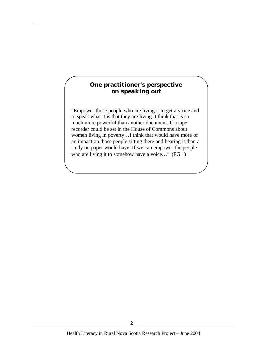#### **One practitioner's perspective** *on speaking out*

"Empower those people who are living it to get a voice and to speak what it is that they are living. I think that is so much more powerful than another document. If a tape recorder could be set in the House of Commons about women living in poverty…I think that would have more of an impact on those people sitting there and hearing it than a study on paper would have. If we can empower the people who are living it to somehow have a voice..." (FG 1)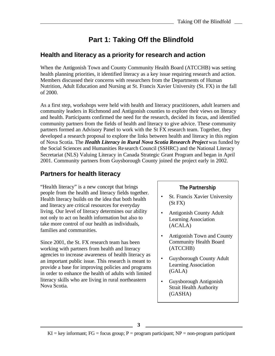# **Part 1: Taking Off the Blindfold**

## <span id="page-8-0"></span>**Health and literacy as a priority for research and action**

When the Antigonish Town and County Community Health Board (ATCCHB) was setting health planning priorities, it identified literacy as a key issue requiring research and action. Members discussed their concerns with researchers from the Departments of Human Nutrition, Adult Education and Nursing at St. Francis Xavier University (St. FX) in the fall of 2000.

As a first step, workshops were held with health and literacy practitioners, adult learners and community leaders in Richmond and Antigonish counties to explore their views on literacy and health. Participants confirmed the need for the research, decided its focus, and identified community partners from the fields of health and literacy to give advice. These community partners formed an Advisory Panel to work with the St FX research team. Together, they developed a research proposal to explore the links between health and literacy in this region of Nova Scotia. The *Health Literacy in Rural Nova Scotia Research Project* was funded by the Social Sciences and Humanities Re search Council (SSHRC) and the National Literacy Secretariat (NLS) Valuing Literacy in Canada Strategic Grant Program and began in April 2001. Community partners from Guysborough County joined the project early in 2002.

# **Partners for health literacy**

"Health literacy" is a new concept that brings people from the health and literacy fields together. Health literacy builds on the idea that both health and literacy are critical resources for everyday living. Our level of literacy determines our ability not only to act on health information but also to take more control of our health as individuals, families and communities.

Since 2001, the St. FX research team has been working with partners from health and literacy agencies to increase awareness of health literacy as an important public issue. This research is meant to provide a base for improving policies and programs in order to enhance the health of adults with limited literacy skills who are living in rural northeastern Nova Scotia.

#### **The Partnership**

- St. Francis Xavier University (St FX)
- Antigonish County Adult Learning Association (ACALA)
- Antigonish Town and County Community Health Board (ATCCHB)
- Guysborough County Adult Learning Association (GALA)
- Guysborough Antigonish Strait Health Authority (GASHA)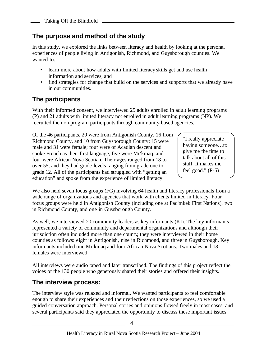# <span id="page-9-0"></span>**The purpose and method of the study**

In this study, we explored the links between literacy and health by looking at the personal experiences of people living in Antigonish, Richmond, and Guysborough counties. We wanted to:

- learn more about how adults with limited literacy skills get and use health information and services, and
- find strategies for change that build on the services and supports that we already have in our communities.

# **The participants**

With their informed consent, we interviewed 25 adults enrolled in adult learning programs (P) and 21 adults with limited literacy not enrolled in adult learning programs (NP). We recruited the non-program participants through community-based agencies.

Of the 46 participants, 20 were from Antigonish County, 16 from Richmond County, and 10 from Guysborough County; 15 were male and 31 were female; four were of Acadian descent and spoke French as their first language, five were Mi'kmaq, and four were African Nova Scotian. Their ages ranged from 18 to over 55, and they had grade levels ranging from grade one to grade 12. All of the participants had struggled with "getting an education" and spoke from the experience of limited literacy.

"I really appreciate having someone…to give me the time to talk about all of this stuff. It makes me feel good."  $(P-5)$ 

We also held seven focus groups (FG) involving 64 health and literacy professionals from a wide range of organizations and agencies that work with clients limited in literacy. Four focus groups were held in Antigonish County (including one at Paq'tnkek First Nations), two in Richmond County, and one in Guysborough County.

As well, we interviewed 20 community leaders as key informants (KI). The key informants represented a variety of community and departmental organizations and although their jurisdiction often included more than one county, they were interviewed in their home counties as follows: eight in Antigonish, nine in Richmond, and three in Guysborough. Key informants included one Mi'kmaq and four African Nova Scotians. Two males and 18 females were interviewed.

All interviews were audio taped and later transcribed. The findings of this project reflect the voices of the 130 people who generously shared their stories and offered their insights.

## **The interview process:**

The interview style was relaxed and informal. We wanted participants to feel comfortable enough to share their experiences and their reflections on those experiences, so we used a guided conversation approach. Personal stories and opinions flowed freely in most cases, and several participants said they appreciated the opportunity to discuss these important issues.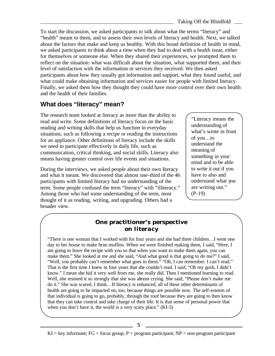<span id="page-10-0"></span>To start the discussion, we asked participants to talk about what the terms "literacy" and "health" meant to them, and to assess their own levels of literacy and health. Next, we talked about the factors that make and keep us healthy. With this broad definition of health in mind, we asked participants to think about a time when they had to deal with a health issue, either for themselves or someone else. When they shared their experiences, we prompted them to reflect on the situation: what was difficult about the situation, what supported them, and their level of satisfaction with the information or services they received. We then asked participants about how they usually got information and support, what they found useful, and what could make obtaining information and services easier for people with limited literacy. Finally, we asked them how they thought they could have more control over their own health and the health of their families.

## **What does "literacy" mean?**

The research team looked at literacy as more than the ability to read and write. Some definitions of literacy focus on the basic reading and writing skills that help us function in everyday situations, such as following a recipe or reading the instructions for an appliance. Other definitions of literacy include the skills we need to participate effectively in daily life, such as communication, critical thinking, and social skills. Literacy also means having greater control over life events and situations.

During the interviews, we asked people about their own literacy and what it meant. We discovered that almost one-third of the 46 participants with limited literacy had no understanding of the term. Some people confused the term "literacy" with "illiteracy." Among those who had some understanding of the term, most thought of it as reading, writing, and upgrading. Others had a broader view.

"Literacy means the understanding of what's wrote in front of you…to understand the meaning of something in your mind and to be able to write it out if you have to also and understand what you are writing out." (P-19)

#### **One practitioner's perspective** *on literacy*

"There is one woman that I worked with for four years and she had three children…I went one day to her house to make bran muffins. When we were finished making them, I said, "Here, I am going to leave the recipe with you so that when you want to make them again, you can make them." She looked at me and she said, "And what good is that going to do me?" I said, "Well, you probably can't remember what goes in them." "Oh, I can remember. I can't read." That is the first time I knew in four years that she couldn't read. I said, "Oh my gosh, I didn't know." I mean she hid it very well from me, she really did. Then I mentioned learning to read. Well, she resisted it so strongly that she was almost crying. She said, "Please don't make me do it." She was scared, I think…If literacy is enhanced, all of these other determinants of health are going to be impacted on, too, because things are possible now. The self-esteem of that individual is going to go, probably, through the roof because they are going to then know that they can take control and take charge of their life. It is that sense of personal power that when you don't have it, the world is a very scary place." (KI-5)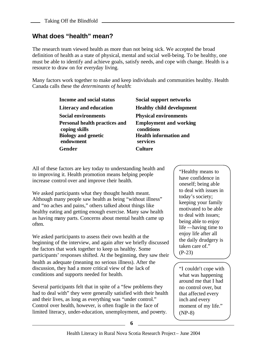# <span id="page-11-0"></span>**What does "health" mean?**

The research team viewed health as more than not being sick. We accepted the broad definition of health as a state of physical, mental and social well-being. To be healthy, one must be able to identify and achieve goals, satisfy needs, and cope with change. Health is a resource to draw on for everyday living.

Many factors work together to make and keep individuals and communities healthy. Health Canada calls these the *determinants of health*:

> **Income and social status Social support networks Literacy and education Healthy child development Social environments Physical environments Personal health practices and coping skills Biology and genetic endowment Gender Culture**

**Employment and working conditions Health information and services**

All of these factors are key today to understanding health and to improving it. Health promotion means helping people increase control over and improve their health.

We asked participants what they thought health meant. Although many people saw health as being "without illness" and "no aches and pains," others talked about things like healthy eating and getting enough exercise. Many saw health as having many parts. Concerns about mental health came up often.

We asked participants to assess their own health at the beginning of the interview, and again after we briefly discussed the factors that work together to keep us healthy. Some participants' responses shifted. At the beginning, they saw their health as adequate (meaning no serious illness). After the discussion, they had a more critical view of the lack of conditions and supports needed for health.

Several participants felt that in spite of a "few problems they had to deal with" they were generally satisfied with their health and their lives, as long as everything was "under control." Control over health, however, is often fragile in the face of limited literacy, under-education, unemployment, and poverty.

"Healthy means to have confidence in oneself; being able to deal with issues in today's society; keeping your family motivated to be able to deal with issues; being able to enjoy life -–having time to enjoy life after all the daily drudgery is taken care of." (P-23)

"I couldn't cope with what was happening around me that I had no control over, but that affected every inch and every moment of my life." (NP-8)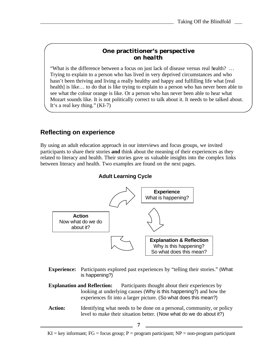#### **One practitioner's perspective** *on health*

<span id="page-12-0"></span>"What is the difference between a focus on just lack of disease versus real health? … Trying to explain to a person who has lived in very deprived circumstances and who hasn't been thriving and living a really healthy and happy and fulfilling life what [real health] is like… to do that is like trying to explain to a person who has never been able to see what the colour orange is like. Or a person who has never been able to hear what Mozart sounds like. It is not politically correct to talk about it. It needs to be talked about. It's a real key thing." (KI-7)

## **Reflecting on experience**

By using an adult education approach in our interviews and focus groups, we invited participants to share their stories **and** think about the meaning of their experiences as they related to literacy and health. Their stories gave us valuable insights into the complex links between literacy and health. Two examples are found on the next pages.

#### **Adult Learning Cycle**



**Experience:** Participants explored past experiences by "telling their stories." (What is happening?)

**Explanation and Reflection:** Participants thought about their experiences by looking at underlying causes (Why is this happening?) and how the experiences fit into a larger picture. (So what does this mean?)

**Action:** Identifying what needs to be done on a personal, community, or policy level to make their situation better. (Now what do we do about it?)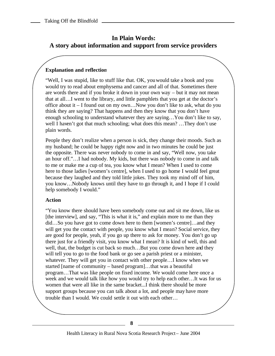## **In Plain Words: A story about information and support from service providers**

#### **Explanation and reflection**

"Well, I was stupid, like to stuff like that. OK, you would take a book and you would try to read about emphysema and cancer and all of that. Sometimes there are words there and if you broke it down in your own way – but it may not mean that at all…I went to the library, and little pamphlets that you get at the doctor's office about it – I found out on my own…Now you don't like to ask, what do you think they are saying? That happens and then they know that you don't have enough schooling to understand whatever they are saying…You don't like to say, well I haven't got that much schooling; what does this mean? ...They don't use plain words.

People they don't realize when a person is sick, they change their moods. Such as my husband; he could be happy right now and in two minutes he could be just the opposite. There was never nobody to come in and say, "Well now, you take an hour off."…I had nobody. My kids, but there was nobody to come in and talk to me or make me a cup of tea, you know what I mean? When I used to come here to those ladies [women's centre], when I used to go home I would feel great because they laughed and they told little jokes. They took my mind off of him, you know…Nobody knows until they have to go through it, and I hope if I could help somebody I would."

#### **Action**

"You know there should have been somebody come out and sit me down, like us [the interview], and say, "This is what it is," and explain more to me than they did…So you have got to come down here to them [women's centre]…and they will get you the contact with people, you know what I mean? Social service, they are good for people, yeah, if you go up there to ask for money. You don't go up there just for a friendly visit, you know what I mean? It is kind of well, this and well, that, the budget is cut back so much…But you come down here and they will tell you to go to the food bank or go see a parish priest or a minister, whatever. They will get you in contact with other people…I know when we started [name of community – based program]…that was a beautiful program…That was like people on fixed income. We would come here once a week and we would talk like how you would try to help each other…It was for us women that were all like in the same bracket...I think there should be more support groups because you can talk about a lot, and people may have more trouble than I would. We could settle it out with each other…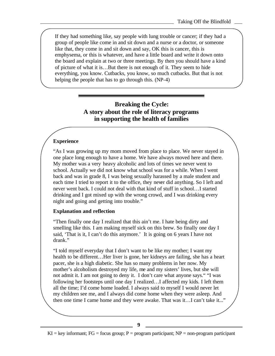If they had something like, say people with lung trouble or cancer; if they had a group of people like come in and sit down and a nurse or a doctor, or someone like that, they come in and sit down and say, OK this is cancer, this is emphysema, or this is whatever, and have a little board and write it down onto the board and explain at two or three meetings. By then you should have a kind of picture of what it is…But there is not enough of it. They seem to hide everything, you know. Cutbacks, you know, so much cutbacks. But that is not helping the people that has to go through this. (NP-4)

#### **Breaking the Cycle: A story about the role of literacy programs in supporting the health of families**

#### **Experience**

"As I was growing up my mom moved from place to place. We never stayed in one place long enough to have a home. We have always moved here and there. My mother was a very heavy alcoholic and lots of times we never went to school. Actually we did not know what school was for a while. When I went back and was in grade 8, I was being sexually harassed by a male student and each time I tried to report it to the office, they never did anything. So I left and never went back. I could not deal with that kind of stuff in school…I started drinking and I got mixed up with the wrong crowd, and I was drinking every night and going and getting into trouble."

#### **Explanation and reflection**

"Then finally one day I realized that this ain't me. I hate being dirty and smelling like this. I am making myself sick on this brew. So finally one day I said, 'That is it, I can't do this anymore.' It is going on 6 years I have not drank."

"I told myself everyday that I don't want to be like my mother; I want my health to be different…Her liver is gone, her kidneys are failing, she has a heart pacer, she is a high diabetic. She has so many problems in her now. My mother's alcoholism destroyed my life, me and my sisters' lives, but she will not admit it. I am not going to deny it. I don't care what anyone says." "I was following her footsteps until one day I realized…I affected my kids. I left them all the time; I'd come home loaded. I always said to myself I would never let my children see me, and I always did come home when they were asleep. And then one time I came home and they were awake. That was it…I can't take it..."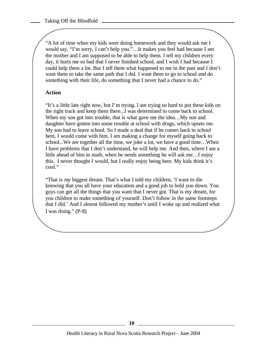"A lot of time when my kids were doing homework and they would ask me I would say, "I'm sorry, I can't help you."…It makes you feel bad because I am the mother and I am supposed to be able to help them. I tell my children every day, it hurts me so bad that I never finished school, and I wish I had because I could help them a lot. But I tell them what happened to me in the past and I don't want them to take the same path that I did. I want them to go to school and do something with their life, do something that I never had a chance to do."

#### **Action**

"It's a little late right now, but I'm trying. I am trying so hard to put these kids on the right track and keep them there...I was determined to come back to school. When my son got into trouble, that is what gave me the idea...My son and daughter have gotten into some trouble at school with drugs, which upsets me. My son had to leave school. So I made a deal that if he comes back to school here, I would come with him. I am making a change for myself going back to school...We are together all the time, we joke a lot, we have a good time…When I have problems that I don't understand, he will help me. And then, where I am a little ahead of him in math, when he needs something he will ask me…I enjoy this. I never thought I would, but I really enjoy being here. My kids think it's cool."

"That is my biggest dream. That's what I told my children, 'I want to die knowing that you all have your education and a good job to hold you down. You guys can get all the things that you want that I never got. That is my dream, for you children to make something of yourself. Don't follow in the same footsteps that I did.' And I almost followed my mother's until I woke up and realized what I was doing." (P-8)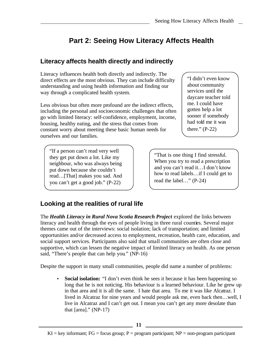# **Part 2: Seeing How Literacy Affects Health**

# <span id="page-16-0"></span>**Literacy affects health directly and indirectly**

Literacy influences health both directly and indirectly. The direct effects are the most obvious. They can include difficulty understanding and using health information and finding our way through a complicated health system.

Less obvious but often more profound are the indirect effects, including the personal and socioeconomic challenges that often go with limited literacy: self-confidence, employment, income, housing, healthy eating, and the stress that comes from constant worry about meeting these basic human needs for ourselves and our families.

"If a person can't read very well they get put down a lot. Like my neighbour, who was always being put down because she couldn't read…[That] makes you sad. And you can't get a good job." (P-22)

"I didn't even know about community services until the daycare teacher told me. I could have gotten help a lot sooner if somebody had told me it was there."  $(P-22)$ 

"That is one thing I find stressful. When you try to read a prescription and you can't read it…I don't know how to read labels…if I could get to read the label…" (P-24)

# **Looking at the realities of rural life**

The *Health Literacy in Rural Nova Scotia Research Project* explored the links between literacy and health through the eyes of people living in three rural counties. Several major themes came out of the interviews: social isolation; lack of transportation; and limited opportunities and/or decreased access to employment, recreation, health care, education, and social support services. Participants also said that small communities are often close and supportive, which can lessen the negative impact of limited literacy on health. As one person said, "There's people that can help you*.*" (NP-16)

Despite the support in many small communities, people did name a number of problems:

• **Social isolation:** "I don't even think he sees it because it has been happening so long that he is not noticing. His behaviour is a learned behaviour. Like he grew up in that area and it is all the same. I hate that area. To me it was like Alcatraz. I lived in Alcatraz for nine years and would people ask me, even back then…well, I live in Alcatraz and I can't get out. I mean you can't get any more desolate than that  $[area]'$  (NP-17)

 $KI = key$  informant;  $FG = focus$  group;  $P = program$  participant;  $NP = non-program$  participant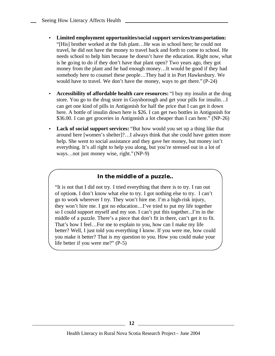- **Limited employment opportunities/social support services/transportation:** "[His] brother worked at the fish plant…He was in school here; he could not travel, he did not have the money to travel back and forth to come to school. He needs school to help him because he doesn't have the education. Right now, what is he going to do if they don't have that plant open? Two years ago, they got money from the plant and he had enough money…It would be good if they had somebody here to counsel these people…They had it in Port Hawkesbury. We would have to travel. We don't have the money, ways to get there." (P-24)
- **Accessibility of affordable health care resources:** "I buy my insulin at the drug store. You go to the drug store in Guysborough and get your pills for insulin…I can get one kind of pills in Antigonish for half the price that I can get it down here. A bottle of insulin down here is \$26. I can get two bottles in Antigonish for \$36.00. I can get groceries in Antigonish a lot cheaper than I can here." (NP-26)
- **Lack of social support services:** "But how would you set up a thing like that around here [women's shelter]?…I always think that she could have gotten more help. She went to social assistance and they gave her money, but money isn't everything. It's all right to help you along, but you're stressed out in a lot of ways…not just money wise, right." (NP-9)

#### *In the middle of a puzzle…*

"It is not that I did not try. I tried everything that there is to try. I ran out of options. I don't know what else to try. I got nothing else to try. I can't go to work wherever I try. They won't hire me. I'm a high-risk injury, they won't hire me. I got no education…I've tried to put my life together so I could support myself and my son. I can't put this together...I'm in the middle of a puzzle. There's a piece that don't fit in there, can't get it to fit. That's how I feel…For me to explain to you, how can I make my life better? Well, I just told you everything I know. If you were me, how could you make it better? That is my question to you. How you could make your life better if you were me?" (P-5)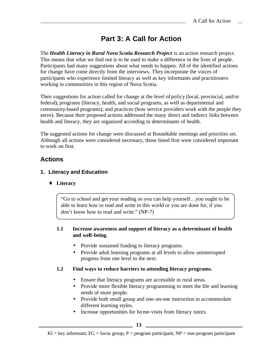# **Part 3: A Call for Action**

<span id="page-18-0"></span>The *Health Literacy in Rural Nova Scotia Research Project* is an action research project. This means that what we find out is to be used to make a difference in the lives of people. Participants had many suggestions about what needs to happen. All of the identified actions for change have come directly from the interviews. They incorporate the voices of participants who experience limited literacy as well as key informants and practitioners working in communities in this region of Nova Scotia.

Their suggestions for action called for change at the level ofpolicy (local, provincial, and/or federal); programs (literacy, health, and social programs, as well as departmental and community-based programs); and practices (how service providers work with the people they serve). Because their proposed actions addressed the many direct and indirect links between health and literacy, they are organized according to determinants of health.

The suggested actions for change were discussed at Roundtable meetings and priorities set. Although all actions were considered necessary, those listed first were considered important to work on first.

# **Actions**

#### **1. Literacy and Education**

♦ **Literacy**

"Go to school and get your reading so you can help yourself…you ought to be able to learn how to read and write in this world or you are done for, if you don't know how to read and write." (NP-7)

#### **1.1 Increase awareness and support of literacy as a determinant of health and well-being.**

- Provide sustained funding to literacy programs.
- Provide adult learning programs at all levels to allow uninterrupted progress from one level to the next.

#### **1.2 Find ways to reduce barriers to attending literacy programs.**

- Ensure that literacy programs are accessible in rural areas.
- Provide more flexible literacy programming to meet the life and learning needs of more people.
- Provide both small group and one-on-one instruction to accommodate different learning styles.
- Increase opportunities for home-visits from literacy tutors.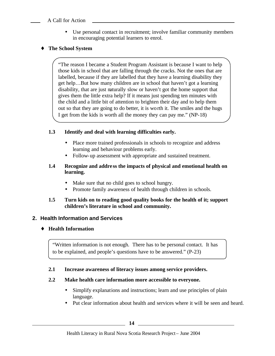#### A Call for Action

• Use personal contact in recruitment; involve familiar community members in encouraging potential learners to enrol.

#### ♦ **The School System**

"The reason I became a Student Program Assistant is because I want to help those kids in school that are falling through the cracks. Not the ones that are labelled, because if they are labelled that they have a learning disability they get help…But how many children are in school that haven't got a learning disability, that are just naturally slow or haven't got the home support that gives them the little extra help? If it means just spending ten minutes with the child and a little bit of attention to brighten their day and to help them out so that they are going to do better, it is worth it. The smiles and the hugs I get from the kids is worth all the money they can pay me." (NP-18)

#### **1.3 Identify and deal with learning difficulties early.**

- Place more trained professionals in schools to recognize and address learning and behaviour problems early.
- Follow-up assessment with appropriate and sustained treatment.

#### **1.4 Recognize and addre ss the impacts of physical and emotional health on learning.**

- Make sure that no child goes to school hungry.
- Promote family awareness of health through children in schools.

#### **1.5 Turn kids on to reading good quality books for the health of it; support children's literature in school and community.**

#### **2. Health Information and Services**

#### ♦ **Health Information**

"Written information is not enough. There has to be personal contact. It has to be explained, and people's questions have to be answered." (P-23)

#### **2.1 Increase awareness of literacy issues among service providers.**

#### **2.2 Make health care information more accessible to everyone.**

- Simplify explanations and instructions; learn and use principles of plain language.
- Put clear information about health and services where it will be seen and heard.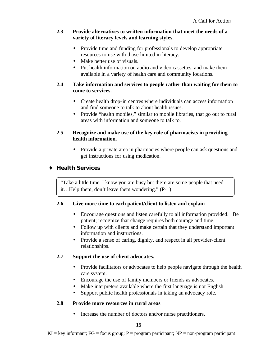#### **2.3 Provide alternatives to written information that meet the needs of a variety of literacy levels and learning styles.**

- Provide time and funding for professionals to develop appropriate resources to use with those limited in literacy.
- Make better use of visuals.
- Put health information on audio and video cassettes, and make them available in a variety of health care and community locations.

#### **2.4 Take information and services to people rather than waiting for them to come to services.**

- Create health drop-in centres where individuals can access information and find someone to talk to about health issues.
- Provide "health mobiles," similar to mobile libraries, that go out to rural areas with information and someone to talk to.

#### **2.5 Recognize and make use of the key role of pharmacists in providing health information.**

• Provide a private area in pharmacies where people can ask questions and get instructions for using medication.

#### ♦ **Health Services**

"Take a little time. I know you are busy but there are some people that need it…Help them, don't leave them wondering." (P-1)

#### **2.6 Give more time to each patient/client to listen and explain**

- Encourage questions and listen carefully to all information provided. Be patient; recognize that change requires both courage and time.
- Follow up with clients and make certain that they understand important information and instructions.
- Provide a sense of caring, dignity, and respect in all provider-client relationships.

#### **2.7 Support the use of client advocates.**

- Provide facilitators or advocates to help people navigate through the health care system.
- Encourage the use of family members or friends as advocates.
- Make interpreters available where the first language is not English.
- Support public health professionals in taking an advocacy role.

#### **2.8 Provide more resources in rural areas**

• Increase the number of doctors and/or nurse practitioners.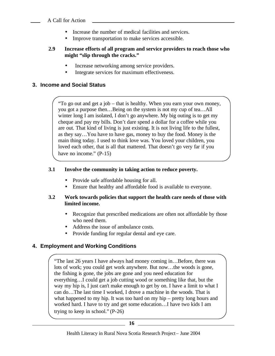- Increase the number of medical facilities and services.
- Improve transportation to make services accessible.

#### **2.9 Increase efforts of all program and service providers to reach those who might "slip through the cracks."**

- Increase networking among service providers.
- Integrate services for maximum effectiveness.

#### **3. Income and Social Status**

"To go out and get a job – that is healthy. When you earn your own money, you got a purpose then…Being on the system is not my cup of tea…All winter long I am isolated, I don't go anywhere. My big outing is to get my cheque and pay my bills. Don't dare spend a dollar for a coffee while you are out. That kind of living is just existing. It is not living life to the fullest, as they say…You have to have gas, money to buy the food. Money is the main thing today. I used to think love was. You loved your children, you loved each other, that is all that mattered. That doesn't go very far if you have no income." (P-15)

#### **3.1 Involve the community in taking action to reduce poverty.**

- Provide safe affordable housing for all.
- Ensure that healthy and affordable food is available to everyone.

#### **3.2 Work towards policies that support the health care needs of those with limited income.**

- Recognize that prescribed medications are often not affordable by those who need them.
- Address the issue of ambulance costs.
- Provide funding for regular dental and eye care.

#### **4. Employment and Working Conditions**

"The last 26 years I have always had money coming in…Before, there was lots of work; you could get work anywhere. But now…the woods is gone, the fishing is gone, the jobs are gone and you need education for everything…I could get a job cutting wood or something like that, but the way my hip is, I just can't make enough to get by on. I have a limit to what I can do…The last time I worked, I drove a machine in the woods. That is what happened to my hip. It was too hard on my hip – pretty long hours and worked hard. I have to try and get some education…I have two kids I am trying to keep in school." (P-26)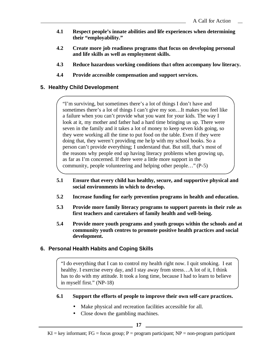- **4.1 Respect people's innate abilities and life experiences when determining their "employability."**
- **4.2 Create more job readiness programs that focus on developing personal and life skills as well as employment skills.**
- **4.3 Reduce hazardous working conditions that often accompany low literacy.**
- **4.4 Provide accessible compensation and support services.**

#### **5. Healthy Child Development**

"I'm surviving, but sometimes there's a lot of things I don't have and sometimes there's a lot of things I can't give my son…It makes you feel like a failure when you can't provide what you want for your kids. The way I look at it, my mother and father had a hard time bringing us up. There were seven in the family and it takes a lot of money to keep seven kids going, so they were working all the time to put food on the table. Even if they were doing that, they weren't providing me he lp with my school books. So a person can't provide everything; I understand that. But still, that's most of the reasons why people end up having literacy problems when growing up, as far as I'm concerned. If there were a little more support in the community, people volunteering and helping other people…" (P-5)

- **5.1 Ensure that every child has healthy, secure, and supportive physical and social environments in which to develop.**
- **5.2 Increase funding for early prevention programs in health and education.**
- **5.3 Provide more family literacy programs to support parents in their role as first teachers and caretakers of family health and well-being.**
- **5.4 Provide more youth programs and youth groups within the schools and at community youth centres to promote positive health practices and social development.**

#### **6. Personal Health Habits and Coping Skills**

"I do everything that I can to control my health right now. I quit smoking. I eat healthy. I exercise every day, and I stay away from stress…A lot of it, I think has to do with my attitude. It took a long time, because I had to learn to believe in myself first." (NP-18)

#### **6.1 Support the efforts of people to improve their own self-care practices.**

- Make physical and recreation facilities accessible for all.
- Close down the gambling machines.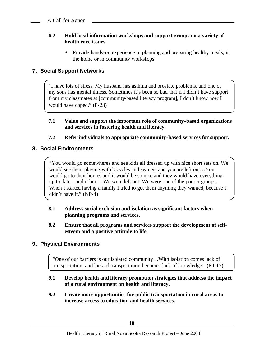#### **6.2 Hold local information workshops and support groups on a variety of health care issues.**

• Provide hands-on experience in planning and preparing healthy meals, in the home or in community workshops.

#### **7. Social Support Networks**

"I have lots of stress. My husband has asthma and prostate problems, and one of my sons has mental illness. Sometimes it's been so bad that if I didn't have support from my classmates at [community-based literacy program], I don't know how I would have coped." (P-23)

**7.1 Value and support the important role of community-based organizations and services in fostering health and literacy.**

#### **7.2 Refer individuals to appropriate community-based services for support.**

#### **8. Social Environments**

"You would go somewheres and see kids all dressed up with nice short sets on. We would see them playing with bicycles and swings, and you are left out…You would go to their homes and it would be so nice and they would have everything up to date…and it hurt…We were left out. We were one of the poorer groups. When I started having a family I tried to get them anything they wanted, because I didn't have it." (NP-4)

- **8.1 Address social exclusion and isolation as significant factors when planning programs and services.**
- **8.2 Ensure that all programs and services support the development of selfesteem and a positive attitude to life**

#### **9. Physical Environments**

"One of our barriers is our isolated community…With isolation comes lack of transportation, and lack of transportation becomes lack of knowledge." (KI-17)

- **9.1 Develop health and literacy promotion strategies that address the impact of a rural environment on health and literacy.**
- **9.2 Create more opportunities for public transportation in rural areas to increase access to education and health services.**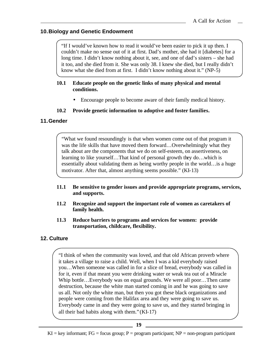#### **10.Biology and Genetic Endowment**

"If I would've known how to read it would've been easier to pick it up then. I couldn't make no sense out of it at first. Dad's mother, she had it [diabetes] for a long time. I didn't know nothing about it, see, and one of dad's sisters – she had it too, and she died from it. She was only 38. I knew she died, but I really didn't know what she died from at first. I didn't know nothing about it." (NP-5)

#### **10.1 Educate people on the genetic links of many physical and mental conditions.**

• Encourage people to become aware of their family medical history.

#### **10.2 Provide genetic information to adoptive and foster families.**

#### **11.Gender**

"What we found resoundingly is that when women come out of that program it was the life skills that have moved them forward…Overwhelmingly what they talk about are the components that we do on self-esteem, on assertiveness, on learning to like yourself…That kind of personal growth they do…which is essentially about validating them as being worthy people in the world…is a huge motivator. After that, almost anything seems possible." (KI-13)

- **11.1 Be sensitive to gender issues and provide appropriate programs, services, and supports.**
- **11.2 Recognize and support the important role of women as caretakers of family health.**
- **11.3 Reduce barriers to programs and services for women: provide transportation, childcare, flexibility.**

#### **12. Culture**

"I think of when the community was loved, and that old African proverb where it takes a village to raise a child. Well, when I was a kid everybody raised you…When someone was called in for a slice of bread, everybody was called in for it, even if that meant you were drinking water or weak tea out of a Miracle Whip bottle…Everybody was on equal grounds. We were all poor…Then came destruction, because the white man started coming in and he was going to save us all. Not only the white man, but then you got these black organizations and people were coming from the Halifax area and they were going to save us. Everybody came in and they were going to save us, and they started bringing in all their bad habits along with them." (KI-17)

 $KI = key$  informant;  $FG = focus group$ ;  $P = program$  participant;  $NP = non-program$  participant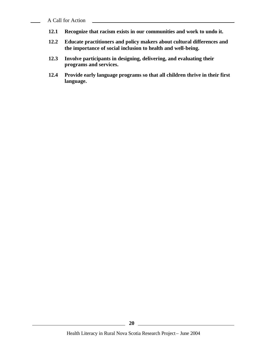A Call for Action

- **12.1 Recognize that racism exists in our communities and work to undo it.**
- **12.2 Educate practitioners and policy makers about cultural differences and the importance of social inclusion to health and well-being.**
- **12.3 Involve participants in designing, delivering, and evaluating their programs and services.**
- **12.4 Provide early language programs so that all children thrive in their first language.**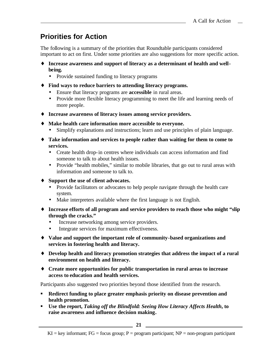# <span id="page-26-0"></span>**Priorities for Action**

The following is a summary of the priorities that Roundtable participants considered important to act on first. Under some priorities are also suggestions for more specific action.

- ♦ **Increase awareness and support of literacy as a determinant of health and wellbeing.**
	- Provide sustained funding to literacy programs
- ♦ **Find ways to reduce barriers to attending literacy programs.**
	- Ensure that literacy programs are **accessible** in rural areas.
	- Provide more flexible literacy programming to meet the life and learning needs of more people.
- ♦ **Increase awareness of literacy issues among service providers.**
- ♦ **Make health care information more accessible to everyone.**
	- Simplify explanations and instructions; learn and use principles of plain language.
- ♦ **Take information and services to people rather than waiting for them to come to services.**
	- Create health drop-in centres where individuals can access information and find someone to talk to about health issues.
	- Provide "health mobiles," similar to mobile libraries, that go out to rural areas with information and someone to talk to.
- ♦ **Support the use of client advocates.**
	- Provide facilitators or advocates to help people navigate through the health care system.
	- Make interpreters available where the first language is not English.
- ♦ **Increase efforts of all program and service providers to reach those who might "slip through the cracks."**
	- Increase networking among service providers.
	- Integrate services for maximum effectiveness.
- ♦ **Value and support the important role of community-based organizations and services in fostering health and literacy.**
- ♦ **Develop health and literacy promotion strategies that address the impact of a rural environment on health and literacy.**
- ♦ **Create more opportunities for public transportation in rural areas to increase access to education and health services.**

Participants also suggested two priorities beyond those identified from the research.

- **Redirect funding to place greater emphasis priority on disease prevention and health promotion.**
- **Example 1** Use the report, *Taking off the Blindfold: Seeing How Literacy Affects Health, to* **raise awareness and influence decision making.**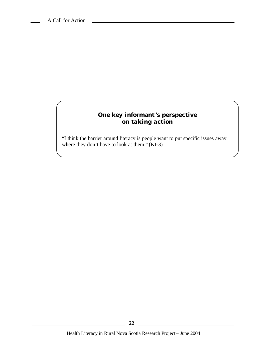### **One key informant's perspective** *on taking action*

"I think the barrier around literacy is people want to put specific issues away where they don't have to look at them." (KI-3)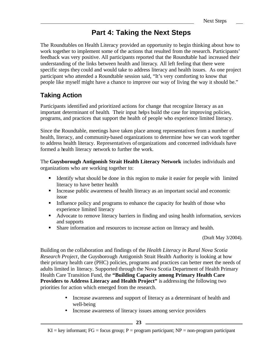# **Part 4: Taking the Next Steps**

<span id="page-28-0"></span>The Roundtables on Health Literacy provided an opportunity to begin thinking about how to work together to implement some of the actions that resulted from the research. Participants' feedback was very positive. All participants reported that the Roundtable had increased their understanding of the links between health and literacy. All left feeling that there were specific steps they could and would take to address literacy and health issues. As one project participant who attended a Roundtable session said, "It's very comforting to know that people like myself might have a chance to improve our way of living the way it should be."

# **Taking Action**

Participants identified and prioritized actions for change that recognize literacy as an important determinant of health. Their input helps build the case for improving policies, programs, and practices that support the health of people who experience limited literacy.

Since the Roundtable, meetings have taken place among representatives from a number of health, literacy, and community-based organizations to determine how we can work together to address health literacy. Representatives of organizations and concerned individuals have formed a health literacy network to further the work.

The **Guysborough Antigonish Strait Health Literacy Network** includes individuals and organizations who are working together to:

- **IDENTIFY IDENTIFY** What should be done in this region to make it easier for people with limited literacy to have better health
- Increase public awareness of health literacy as an important social and economic issue
- Influence policy and programs to enhance the capacity for health of those who experience limited literacy
- Advocate to remove literacy barriers in finding and using health information, services and supports
- **Share information and resources to increase action on literacy and health.**

(Draft May 3/2004).

Building on the collaboration and findings of the *Health Literacy in Rural Nova Scotia Research Project*, the Guysborough Antigonish Strait Health Authority is looking at how their primary health care (PHC) policies, programs and practices can better meet the needs of adults limited in literacy. Supported through the Nova Scotia Department of Health Primary Health Care Transition Fund, the **"Building Capacity among Primary Health Care Providers to Address Literacy and Health Project"** is addressing the following two priorities for action which emerged from the research.

- Increase awareness and support of literacy as a determinant of health and well-being
- Increase awareness of literacy issues among service providers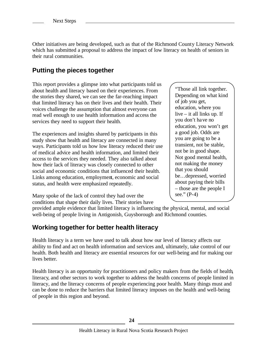<span id="page-29-0"></span>Other initiatives are being developed, such as that of the Richmond County Literacy Network which has submitted a proposal to address the impact of low literacy on health of seniors in their rural communities.

# **Putting the pieces together**

This report provides a glimpse into what participants told us about health and literacy based on their experiences. From the stories they shared, we can see the far-reaching impact that limited literacy has on their lives and their health. Their voices challenge the assumption that almost everyone can read well enough to use health information and access the services they need to support their health.

The experiences and insights shared by participants in this study show that health and literacy are connected in many ways. Participants told us how low literacy reduced their use of medical advice and health information, and limited their access to the services they needed. They also talked about how their lack of literacy was closely connected to other social and economic conditions that influenced their health. Links among education, employment, economic and social status, and health were emphasized repeatedly.

"Those all link together. Depending on what kind of job you get, education, where you live – it all links up. If you don't have no education, you won't get a good job. Odds are you are going to be a transient, not be stable, not be in good shape. Not good mental health, not making the money that you should be…depressed, worried about paying their bills – those are the people I see." (P-4)

Many spoke of the lack of control they had over the conditions that shape their daily lives. Their stories have

provided ample evidence that limited literacy is influencing the physical, mental, and social well-being of people living in Antigonish, Guysborough and Richmond counties.

## **Working together for better health literacy**

Health literacy is a term we have used to talk about how our level of literacy affects our ability to find and act on health information and services and, ultimately, take control of our health. Both health and literacy are essential resources for our well-being and for making our lives better.

Health literacy is an opportunity for practitioners and policy makers from the fields of health, literacy, and other sectors to work together to address the health concerns of people limited in literacy, and the literacy concerns of people experiencing poor health. Many things must and can be done to reduce the barriers that limited literacy imposes on the health and well-being of people in this region and beyond.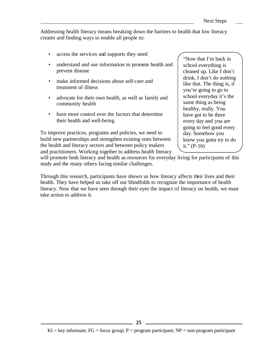Addressing health literacy means breaking down the barriers to health that low literacy creates and finding ways to enable all people to:

- access the services and supports they need
- understand and use information to promote health and prevent disease
- make informed decisions about self-care and treatment of illness
- advocate for their own health, as well as family and community health
- have more control over the factors that determine their health and well-being

To improve practices, programs and policies, we need to build new partnerships and strengthen existing ones between the health and literacy sectors and between policy makers and practitioners. Working together to address health literacy "Now that I'm back in school everything is cleaned up. Like I don't drink, I don't do nothing like that. The thing is, if you're going to go to school everyday it's the same thing as being healthy, really. You have got to be there every day and you are going to feel good every day. Somehow you know you gotta try to do it."  $(P-16)$ 

will promote both literacy and health as resources for everyday living for participants of this study and the many others facing similar challenges.

Through this research, participants have shown us how literacy affects their lives and their health. They have helped us take off our blindfolds to recognize the importance of health literacy. Now that we have seen through their eyes the impact of literacy on health, we must take action to address it.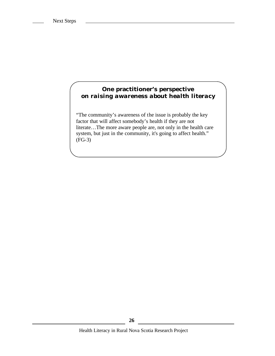#### **One practitioner's perspective** *on raising awareness about health literacy*

"The community's awareness of the issue is probably the key factor that will affect somebody's health if they are not literate…The more aware people are, not only in the health care system, but just in the community, it's going to affect health." (FG-3)